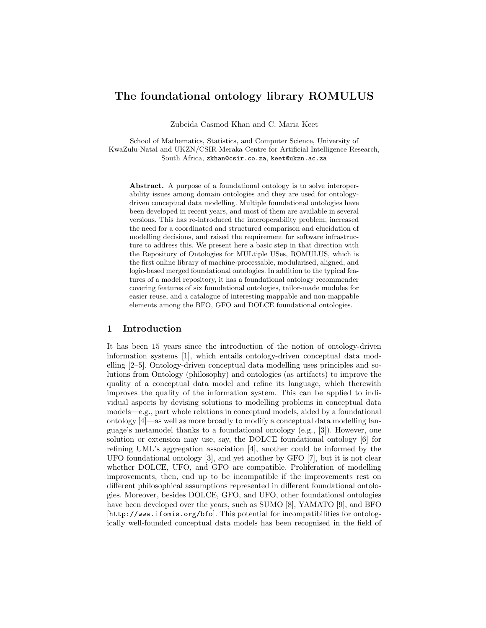# The foundational ontology library ROMULUS

Zubeida Casmod Khan and C. Maria Keet

School of Mathematics, Statistics, and Computer Science, University of KwaZulu-Natal and UKZN/CSIR-Meraka Centre for Artificial Intelligence Research, South Africa, zkhan@csir.co.za, keet@ukzn.ac.za

Abstract. A purpose of a foundational ontology is to solve interoperability issues among domain ontologies and they are used for ontologydriven conceptual data modelling. Multiple foundational ontologies have been developed in recent years, and most of them are available in several versions. This has re-introduced the interoperability problem, increased the need for a coordinated and structured comparison and elucidation of modelling decisions, and raised the requirement for software infrastructure to address this. We present here a basic step in that direction with the Repository of Ontologies for MULtiple USes, ROMULUS, which is the first online library of machine-processable, modularised, aligned, and logic-based merged foundational ontologies. In addition to the typical features of a model repository, it has a foundational ontology recommender covering features of six foundational ontologies, tailor-made modules for easier reuse, and a catalogue of interesting mappable and non-mappable elements among the BFO, GFO and DOLCE foundational ontologies.

### 1 Introduction

It has been 15 years since the introduction of the notion of ontology-driven information systems [1], which entails ontology-driven conceptual data modelling [2–5]. Ontology-driven conceptual data modelling uses principles and solutions from Ontology (philosophy) and ontologies (as artifacts) to improve the quality of a conceptual data model and refine its language, which therewith improves the quality of the information system. This can be applied to individual aspects by devising solutions to modelling problems in conceptual data models—e.g., part whole relations in conceptual models, aided by a foundational ontology [4]—as well as more broadly to modify a conceptual data modelling language's metamodel thanks to a foundational ontology (e.g., [3]). However, one solution or extension may use, say, the DOLCE foundational ontology [6] for refining UML's aggregation association [4], another could be informed by the UFO foundational ontology [3], and yet another by GFO [7], but it is not clear whether DOLCE, UFO, and GFO are compatible. Proliferation of modelling improvements, then, end up to be incompatible if the improvements rest on different philosophical assumptions represented in different foundational ontologies. Moreover, besides DOLCE, GFO, and UFO, other foundational ontologies have been developed over the years, such as SUMO [8], YAMATO [9], and BFO [http://www.ifomis.org/bfo]. This potential for incompatibilities for ontologically well-founded conceptual data models has been recognised in the field of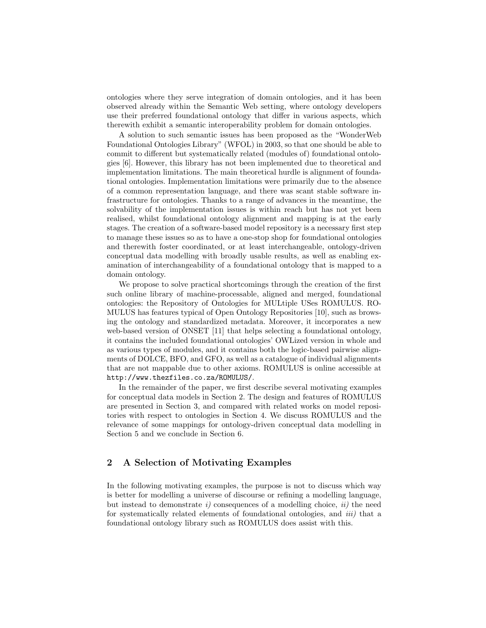ontologies where they serve integration of domain ontologies, and it has been observed already within the Semantic Web setting, where ontology developers use their preferred foundational ontology that differ in various aspects, which therewith exhibit a semantic interoperability problem for domain ontologies.

A solution to such semantic issues has been proposed as the "WonderWeb Foundational Ontologies Library" (WFOL) in 2003, so that one should be able to commit to different but systematically related (modules of) foundational ontologies [6]. However, this library has not been implemented due to theoretical and implementation limitations. The main theoretical hurdle is alignment of foundational ontologies. Implementation limitations were primarily due to the absence of a common representation language, and there was scant stable software infrastructure for ontologies. Thanks to a range of advances in the meantime, the solvability of the implementation issues is within reach but has not yet been realised, whilst foundational ontology alignment and mapping is at the early stages. The creation of a software-based model repository is a necessary first step to manage these issues so as to have a one-stop shop for foundational ontologies and therewith foster coordinated, or at least interchangeable, ontology-driven conceptual data modelling with broadly usable results, as well as enabling examination of interchangeability of a foundational ontology that is mapped to a domain ontology.

We propose to solve practical shortcomings through the creation of the first such online library of machine-processable, aligned and merged, foundational ontologies: the Repository of Ontologies for MULtiple USes ROMULUS. RO-MULUS has features typical of Open Ontology Repositories [10], such as browsing the ontology and standardized metadata. Moreover, it incorporates a new web-based version of ONSET [11] that helps selecting a foundational ontology, it contains the included foundational ontologies' OWLized version in whole and as various types of modules, and it contains both the logic-based pairwise alignments of DOLCE, BFO, and GFO, as well as a catalogue of individual alignments that are not mappable due to other axioms. ROMULUS is online accessible at http://www.thezfiles.co.za/ROMULUS/.

In the remainder of the paper, we first describe several motivating examples for conceptual data models in Section 2. The design and features of ROMULUS are presented in Section 3, and compared with related works on model repositories with respect to ontologies in Section 4. We discuss ROMULUS and the relevance of some mappings for ontology-driven conceptual data modelling in Section 5 and we conclude in Section 6.

# 2 A Selection of Motivating Examples

In the following motivating examples, the purpose is not to discuss which way is better for modelling a universe of discourse or refining a modelling language, but instead to demonstrate  $i$  consequences of a modelling choice,  $ii$  the need for systematically related elements of foundational ontologies, and *iii*) that a foundational ontology library such as ROMULUS does assist with this.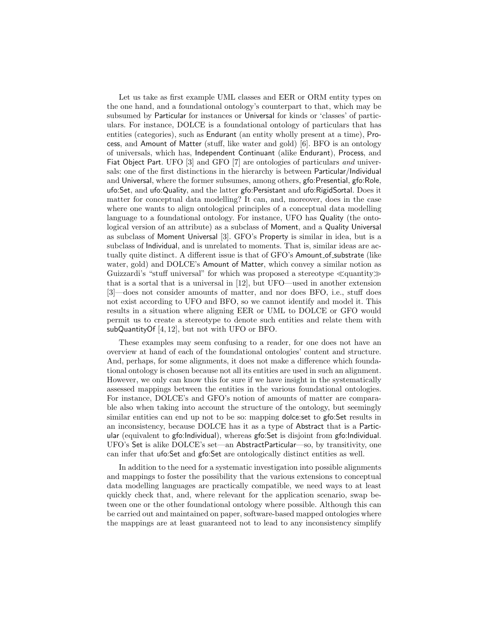Let us take as first example UML classes and EER or ORM entity types on the one hand, and a foundational ontology's counterpart to that, which may be subsumed by Particular for instances or Universal for kinds or 'classes' of particulars. For instance, DOLCE is a foundational ontology of particulars that has entities (categories), such as Endurant (an entity wholly present at a time), Process, and Amount of Matter (stuff, like water and gold) [6]. BFO is an ontology of universals, which has, Independent Continuant (alike Endurant), Process, and Fiat Object Part. UFO [3] and GFO [7] are ontologies of particulars and universals: one of the first distinctions in the hierarchy is between Particular/Individual and Universal, where the former subsumes, among others, gfo:Presential, gfo:Role, ufo:Set, and ufo:Quality, and the latter gfo:Persistant and ufo:RigidSortal. Does it matter for conceptual data modelling? It can, and, moreover, does in the case where one wants to align ontological principles of a conceptual data modelling language to a foundational ontology. For instance, UFO has Quality (the ontological version of an attribute) as a subclass of Moment, and a Quality Universal as subclass of Moment Universal [3]. GFO's Property is similar in idea, but is a subclass of Individual, and is unrelated to moments. That is, similar ideas are actually quite distinct. A different issue is that of GFO's Amount of substrate (like water, gold) and DOLCE's Amount of Matter, which convey a similar notion as Guizzardi's "stuff universal" for which was proposed a stereotype  $\ll$  quantity  $\gg$ that is a sortal that is a universal in [12], but UFO—used in another extension [3]—does not consider amounts of matter, and nor does BFO, i.e., stuff does not exist according to UFO and BFO, so we cannot identify and model it. This results in a situation where aligning EER or UML to DOLCE or GFO would permit us to create a stereotype to denote such entities and relate them with subQuantityOf [4, 12], but not with UFO or BFO.

These examples may seem confusing to a reader, for one does not have an overview at hand of each of the foundational ontologies' content and structure. And, perhaps, for some alignments, it does not make a difference which foundational ontology is chosen because not all its entities are used in such an alignment. However, we only can know this for sure if we have insight in the systematically assessed mappings between the entities in the various foundational ontologies. For instance, DOLCE's and GFO's notion of amounts of matter are comparable also when taking into account the structure of the ontology, but seemingly similar entities can end up not to be so: mapping dolce: set to gfo: Set results in an inconsistency, because DOLCE has it as a type of Abstract that is a Particular (equivalent to gfo:Individual), whereas gfo:Set is disjoint from gfo:Individual. UFO's Set is alike DOLCE's set—an AbstractParticular—so, by transitivity, one can infer that ufo:Set and gfo:Set are ontologically distinct entities as well.

In addition to the need for a systematic investigation into possible alignments and mappings to foster the possibility that the various extensions to conceptual data modelling languages are practically compatible, we need ways to at least quickly check that, and, where relevant for the application scenario, swap between one or the other foundational ontology where possible. Although this can be carried out and maintained on paper, software-based mapped ontologies where the mappings are at least guaranteed not to lead to any inconsistency simplify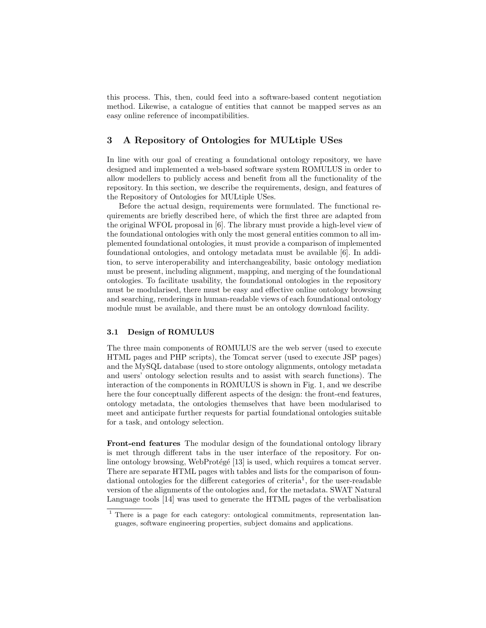this process. This, then, could feed into a software-based content negotiation method. Likewise, a catalogue of entities that cannot be mapped serves as an easy online reference of incompatibilities.

## 3 A Repository of Ontologies for MULtiple USes

In line with our goal of creating a foundational ontology repository, we have designed and implemented a web-based software system ROMULUS in order to allow modellers to publicly access and benefit from all the functionality of the repository. In this section, we describe the requirements, design, and features of the Repository of Ontologies for MULtiple USes.

Before the actual design, requirements were formulated. The functional requirements are briefly described here, of which the first three are adapted from the original WFOL proposal in [6]. The library must provide a high-level view of the foundational ontologies with only the most general entities common to all implemented foundational ontologies, it must provide a comparison of implemented foundational ontologies, and ontology metadata must be available [6]. In addition, to serve interoperability and interchangeability, basic ontology mediation must be present, including alignment, mapping, and merging of the foundational ontologies. To facilitate usability, the foundational ontologies in the repository must be modularised, there must be easy and effective online ontology browsing and searching, renderings in human-readable views of each foundational ontology module must be available, and there must be an ontology download facility.

#### 3.1 Design of ROMULUS

The three main components of ROMULUS are the web server (used to execute HTML pages and PHP scripts), the Tomcat server (used to execute JSP pages) and the MySQL database (used to store ontology alignments, ontology metadata and users' ontology selection results and to assist with search functions). The interaction of the components in ROMULUS is shown in Fig. 1, and we describe here the four conceptually different aspects of the design: the front-end features, ontology metadata, the ontologies themselves that have been modularised to meet and anticipate further requests for partial foundational ontologies suitable for a task, and ontology selection.

Front-end features The modular design of the foundational ontology library is met through different tabs in the user interface of the repository. For online ontology browsing, WebProtégé  $[13]$  is used, which requires a tomcat server. There are separate HTML pages with tables and lists for the comparison of foundational ontologies for the different categories of criteria<sup>1</sup>, for the user-readable version of the alignments of the ontologies and, for the metadata. SWAT Natural Language tools [14] was used to generate the HTML pages of the verbalisation

<sup>1</sup> There is a page for each category: ontological commitments, representation languages, software engineering properties, subject domains and applications.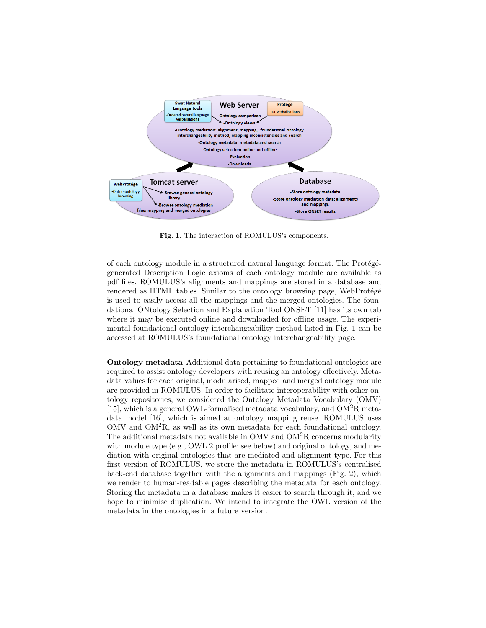

Fig. 1. The interaction of ROMULUS's components.

of each ontology module in a structured natural language format. The Protégégenerated Description Logic axioms of each ontology module are available as pdf files. ROMULUS's alignments and mappings are stored in a database and rendered as HTML tables. Similar to the ontology browsing page, WebProtégé is used to easily access all the mappings and the merged ontologies. The foundational ONtology Selection and Explanation Tool ONSET [11] has its own tab where it may be executed online and downloaded for offline usage. The experimental foundational ontology interchangeability method listed in Fig. 1 can be accessed at ROMULUS's foundational ontology interchangeability page.

Ontology metadata Additional data pertaining to foundational ontologies are required to assist ontology developers with reusing an ontology effectively. Metadata values for each original, modularised, mapped and merged ontology module are provided in ROMULUS. In order to facilitate interoperability with other ontology repositories, we considered the Ontology Metadata Vocabulary (OMV) [15], which is a general OWL-formalised metadata vocabulary, and OM2R metadata model [16], which is aimed at ontology mapping reuse. ROMULUS uses  $OMV$  and  $OM<sup>2</sup>R$ , as well as its own metadata for each foundational ontology. The additional metadata not available in OMV and  $OM<sup>2</sup>R$  concerns modularity with module type (e.g., OWL 2 profile; see below) and original ontology, and mediation with original ontologies that are mediated and alignment type. For this first version of ROMULUS, we store the metadata in ROMULUS's centralised back-end database together with the alignments and mappings (Fig. 2), which we render to human-readable pages describing the metadata for each ontology. Storing the metadata in a database makes it easier to search through it, and we hope to minimise duplication. We intend to integrate the OWL version of the metadata in the ontologies in a future version.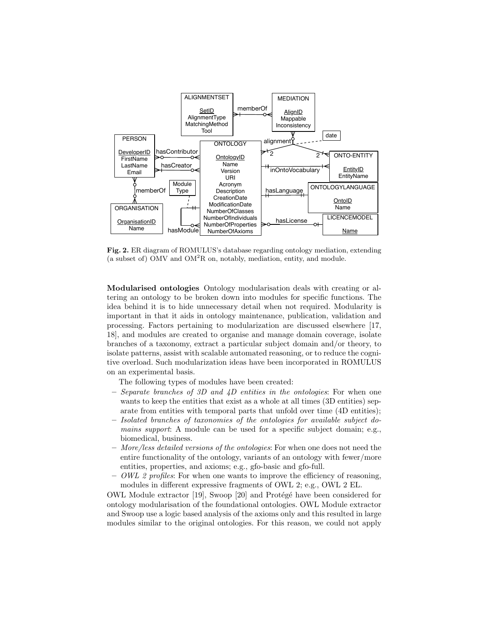

Fig. 2. ER diagram of ROMULUS's database regarding ontology mediation, extending (a subset of) OMV and  $OM<sup>2</sup>R$  on, notably, mediation, entity, and module.

Modularised ontologies Ontology modularisation deals with creating or altering an ontology to be broken down into modules for specific functions. The idea behind it is to hide unnecessary detail when not required. Modularity is important in that it aids in ontology maintenance, publication, validation and processing. Factors pertaining to modularization are discussed elsewhere [17, 18], and modules are created to organise and manage domain coverage, isolate branches of a taxonomy, extract a particular subject domain and/or theory, to isolate patterns, assist with scalable automated reasoning, or to reduce the cognitive overload. Such modularization ideas have been incorporated in ROMULUS on an experimental basis.

The following types of modules have been created:

- Separate branches of 3D and 4D entities in the ontologies: For when one wants to keep the entities that exist as a whole at all times (3D entities) separate from entities with temporal parts that unfold over time (4D entities);
- Isolated branches of taxonomies of the ontologies for available subject domains support: A module can be used for a specific subject domain; e.g., biomedical, business.
- More/less detailed versions of the ontologies: For when one does not need the entire functionality of the ontology, variants of an ontology with fewer/more entities, properties, and axioms; e.g., gfo-basic and gfo-full.
- $-$  *OWL 2 profiles:* For when one wants to improve the efficiency of reasoning, modules in different expressive fragments of OWL 2; e.g., OWL 2 EL.

OWL Module extractor [19], Swoop [20] and Protégé have been considered for ontology modularisation of the foundational ontologies. OWL Module extractor and Swoop use a logic based analysis of the axioms only and this resulted in large modules similar to the original ontologies. For this reason, we could not apply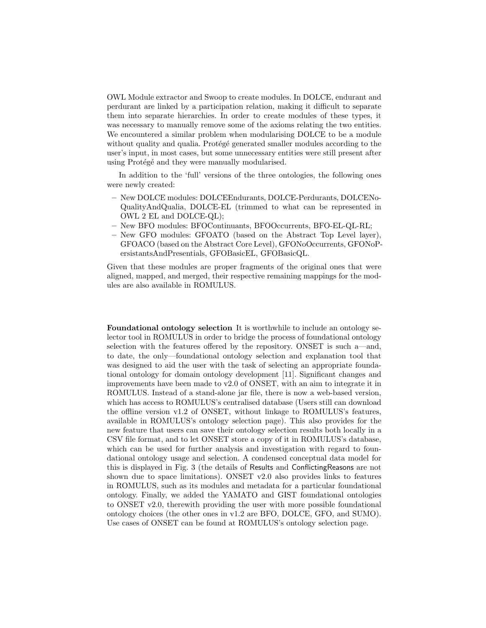OWL Module extractor and Swoop to create modules. In DOLCE, endurant and perdurant are linked by a participation relation, making it difficult to separate them into separate hierarchies. In order to create modules of these types, it was necessary to manually remove some of the axioms relating the two entities. We encountered a similar problem when modularising DOLCE to be a module without quality and qualia. Protégé generated smaller modules according to the user's input, in most cases, but some unnecessary entities were still present after using Protégé and they were manually modularised.

In addition to the 'full' versions of the three ontologies, the following ones were newly created:

- New DOLCE modules: DOLCEEndurants, DOLCE-Perdurants, DOLCENo-QualityAndQualia, DOLCE-EL (trimmed to what can be represented in OWL 2 EL and DOLCE-QL);
- New BFO modules: BFOContinuants, BFOOccurrents, BFO-EL-QL-RL;
- New GFO modules: GFOATO (based on the Abstract Top Level layer), GFOACO (based on the Abstract Core Level), GFONoOccurrents, GFONoPersistantsAndPresentials, GFOBasicEL, GFOBasicQL.

Given that these modules are proper fragments of the original ones that were aligned, mapped, and merged, their respective remaining mappings for the modules are also available in ROMULUS.

Foundational ontology selection It is worthwhile to include an ontology selector tool in ROMULUS in order to bridge the process of foundational ontology selection with the features offered by the repository. ONSET is such a—and, to date, the only—foundational ontology selection and explanation tool that was designed to aid the user with the task of selecting an appropriate foundational ontology for domain ontology development [11]. Significant changes and improvements have been made to v2.0 of ONSET, with an aim to integrate it in ROMULUS. Instead of a stand-alone jar file, there is now a web-based version, which has access to ROMULUS's centralised database (Users still can download the offline version v1.2 of ONSET, without linkage to ROMULUS's features, available in ROMULUS's ontology selection page). This also provides for the new feature that users can save their ontology selection results both locally in a CSV file format, and to let ONSET store a copy of it in ROMULUS's database, which can be used for further analysis and investigation with regard to foundational ontology usage and selection. A condensed conceptual data model for this is displayed in Fig. 3 (the details of Results and ConflictingReasons are not shown due to space limitations). ONSET v2.0 also provides links to features in ROMULUS, such as its modules and metadata for a particular foundational ontology. Finally, we added the YAMATO and GIST foundational ontologies to ONSET v2.0, therewith providing the user with more possible foundational ontology choices (the other ones in v1.2 are BFO, DOLCE, GFO, and SUMO). Use cases of ONSET can be found at ROMULUS's ontology selection page.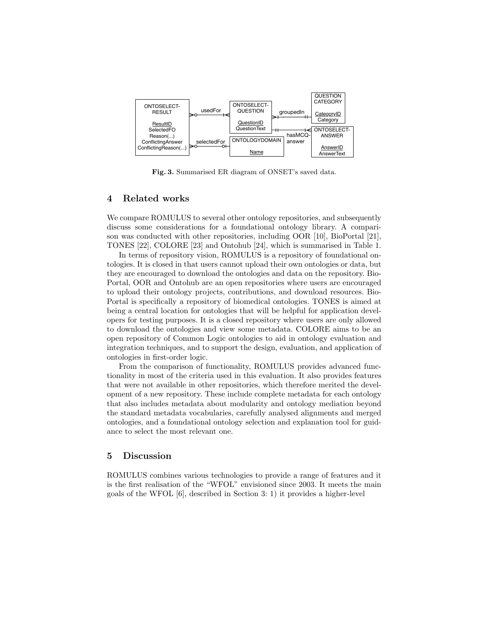

Fig. 3. Summarised ER diagram of ONSET's saved data.

# 4 Related works

We compare ROMULUS to several other ontology repositories, and subsequently discuss some considerations for a foundational ontology library. A comparison was conducted with other repositories, including OOR [10], BioPortal [21], TONES [22], COLORE [23] and Ontohub [24], which is summarised in Table 1.

In terms of repository vision, ROMULUS is a repository of foundational ontologies. It is closed in that users cannot upload their own ontologies or data, but they are encouraged to download the ontologies and data on the repository. Bio-Portal, OOR and Ontohub are an open repositories where users are encouraged to upload their ontology projects, contributions, and download resources. Bio-Portal is specifically a repository of biomedical ontologies. TONES is aimed at being a central location for ontologies that will be helpful for application developers for testing purposes. It is a closed repository where users are only allowed to download the ontologies and view some metadata. COLORE aims to be an open repository of Common Logic ontologies to aid in ontology evaluation and integration techniques, and to support the design, evaluation, and application of ontologies in first-order logic.

From the comparison of functionality, ROMULUS provides advanced functionality in most of the criteria used in this evaluation. It also provides features that were not available in other repositories, which therefore merited the development of a new repository. These include complete metadata for each ontology that also includes metadata about modularity and ontology mediation beyond the standard metadata vocabularies, carefully analysed alignments and merged ontologies, and a foundational ontology selection and explanation tool for guidance to select the most relevant one.

# 5 Discussion

ROMULUS combines various technologies to provide a range of features and it is the first realisation of the "WFOL" envisioned since 2003. It meets the main goals of the WFOL [6], described in Section 3: 1) it provides a higher-level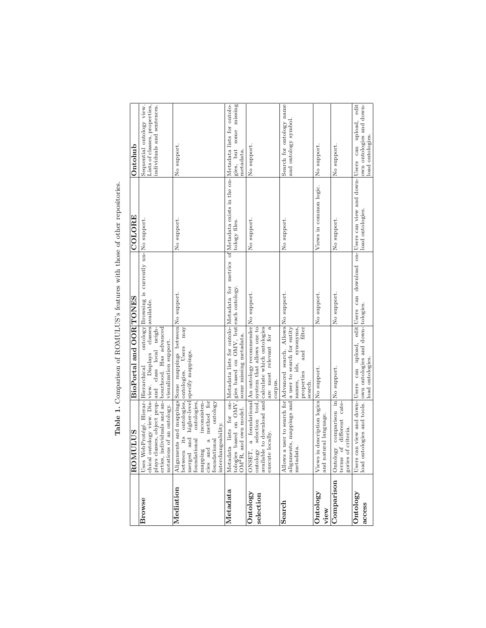|                       | SUTLUZ<br>RON                                                                                                                                                                                                                                   | BioPortal and OOR TONES                                                                                                                                                                                              |                                                                      | COLORE                 | Ontohub                                                                                  |
|-----------------------|-------------------------------------------------------------------------------------------------------------------------------------------------------------------------------------------------------------------------------------------------|----------------------------------------------------------------------------------------------------------------------------------------------------------------------------------------------------------------------|----------------------------------------------------------------------|------------------------|------------------------------------------------------------------------------------------|
| Browse                | WebProtégé. Hierar- Hierarchical<br>ontology view. Dis- view.<br>notations of an ontology.<br>chical<br>Uses                                                                                                                                    | plays classes, object prop- and class local neighteries, individuals and an-bourhood. Has advanced<br>visualization support.<br>Displays                                                                             | ontology Browsing is currently un-No support.<br>classes available.  |                        | Sequential ontology view.<br>Lists of classes, properties,<br>individuals and sentences. |
| Mediation             | inconsisten-<br>method for<br>ontology<br>ontologies,<br>interchangeability.<br>$\begin{tabular}{ l c c c } \hline merged & and \\ \hline foundational \\ \hline \end{tabular}$<br>$\ddot{\circ}$<br>ational<br>and<br>mapping<br>found<br>cies | Alignments and mappings Some mappings between No support.<br>between its ontologies, ontologies. Users may<br>higher-level specify mappings.                                                                         |                                                                      | No support.            | No support.                                                                              |
| Metadata              | R, and own model.<br>tologi<br>OM <sup>2</sup> H                                                                                                                                                                                                | Metadata lists for on- Metadata lists for ontolo- Metadata for metrics of Metadata.exists.in the on- Metadata lists for ontolo-<br>ies based on OMV, gies based on OMV, but each ontology.<br>some missing metadata. |                                                                      | tology files.          | gies, but some missing<br>metadata.                                                      |
| Ontology<br>selection | execute locally.                                                                                                                                                                                                                                | ONSET, a foundational An ontology recommender No support.<br>available to download and calculate which ontologies<br>are most relevant for a<br>ontology selection tool, system that allows one to<br>corpus.        |                                                                      | No support.            | No support.                                                                              |
| ${\bf Search}$        | metadata.                                                                                                                                                                                                                                       | Allows a user to search for Advanced search. Allows No support.<br>filter<br>synonyms,<br>alignments, mappings and a user to search for entity<br>and<br>ids,<br>properties<br>names.<br>search.                     |                                                                      | No support.            | Search for ontology name<br>and ontology symbol.                                         |
| Ontology<br>view      | in description logics No support.<br>and natural language.<br>Views                                                                                                                                                                             |                                                                                                                                                                                                                      | No support.                                                          | Views in common logic. | No support.                                                                              |
| Comparison            | Ontology comparison in No support.<br>of different cate-<br>of criteria.<br>terms<br>gories                                                                                                                                                     |                                                                                                                                                                                                                      | No support.                                                          | No support.            | No support.                                                                              |
| Ontology<br>access    | Users can view and down-Users can upload,<br>load ontologies and tools. lown ontologies and o                                                                                                                                                   | ontologies and tools. own ontologies and down-tologies.<br>load ontologies.                                                                                                                                          | edit Users can download on-Users can view and down-Users can upload, | load ontologies.       | edit<br>own ontologies and down-<br>load ontologies                                      |

Table 1. Comparison of ROMULUS's features with those of other repositories. Table 1. Comparison of ROMULUS's features with those of other repositories.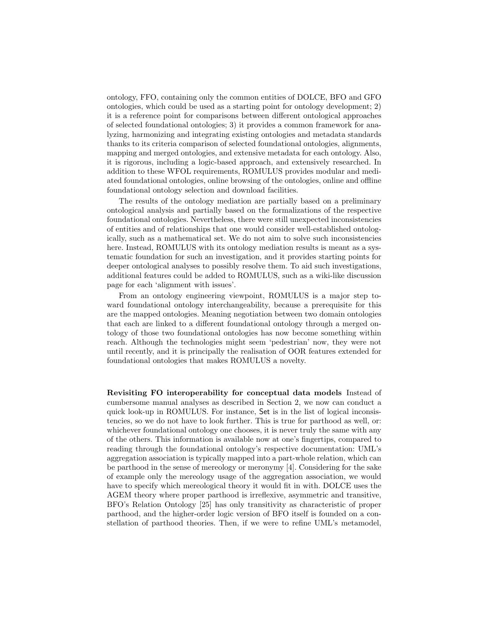ontology, FFO, containing only the common entities of DOLCE, BFO and GFO ontologies, which could be used as a starting point for ontology development; 2) it is a reference point for comparisons between different ontological approaches of selected foundational ontologies; 3) it provides a common framework for analyzing, harmonizing and integrating existing ontologies and metadata standards thanks to its criteria comparison of selected foundational ontologies, alignments, mapping and merged ontologies, and extensive metadata for each ontology. Also, it is rigorous, including a logic-based approach, and extensively researched. In addition to these WFOL requirements, ROMULUS provides modular and mediated foundational ontologies, online browsing of the ontologies, online and offline foundational ontology selection and download facilities.

The results of the ontology mediation are partially based on a preliminary ontological analysis and partially based on the formalizations of the respective foundational ontologies. Nevertheless, there were still unexpected inconsistencies of entities and of relationships that one would consider well-established ontologically, such as a mathematical set. We do not aim to solve such inconsistencies here. Instead, ROMULUS with its ontology mediation results is meant as a systematic foundation for such an investigation, and it provides starting points for deeper ontological analyses to possibly resolve them. To aid such investigations, additional features could be added to ROMULUS, such as a wiki-like discussion page for each 'alignment with issues'.

From an ontology engineering viewpoint, ROMULUS is a major step toward foundational ontology interchangeability, because a prerequisite for this are the mapped ontologies. Meaning negotiation between two domain ontologies that each are linked to a different foundational ontology through a merged ontology of those two foundational ontologies has now become something within reach. Although the technologies might seem 'pedestrian' now, they were not until recently, and it is principally the realisation of OOR features extended for foundational ontologies that makes ROMULUS a novelty.

Revisiting FO interoperability for conceptual data models Instead of cumbersome manual analyses as described in Section 2, we now can conduct a quick look-up in ROMULUS. For instance, Set is in the list of logical inconsistencies, so we do not have to look further. This is true for parthood as well, or: whichever foundational ontology one chooses, it is never truly the same with any of the others. This information is available now at one's fingertips, compared to reading through the foundational ontology's respective documentation: UML's aggregation association is typically mapped into a part-whole relation, which can be parthood in the sense of mereology or meronymy [4]. Considering for the sake of example only the mereology usage of the aggregation association, we would have to specify which mereological theory it would fit in with. DOLCE uses the AGEM theory where proper parthood is irreflexive, asymmetric and transitive, BFO's Relation Ontology [25] has only transitivity as characteristic of proper parthood, and the higher-order logic version of BFO itself is founded on a constellation of parthood theories. Then, if we were to refine UML's metamodel,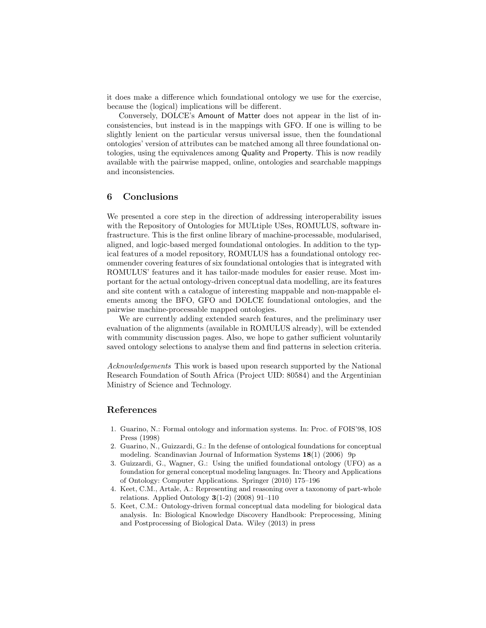it does make a difference which foundational ontology we use for the exercise, because the (logical) implications will be different.

Conversely, DOLCE's Amount of Matter does not appear in the list of inconsistencies, but instead is in the mappings with GFO. If one is willing to be slightly lenient on the particular versus universal issue, then the foundational ontologies' version of attributes can be matched among all three foundational ontologies, using the equivalences among Quality and Property. This is now readily available with the pairwise mapped, online, ontologies and searchable mappings and inconsistencies.

### 6 Conclusions

We presented a core step in the direction of addressing interoperability issues with the Repository of Ontologies for MULtiple USes, ROMULUS, software infrastructure. This is the first online library of machine-processable, modularised, aligned, and logic-based merged foundational ontologies. In addition to the typical features of a model repository, ROMULUS has a foundational ontology recommender covering features of six foundational ontologies that is integrated with ROMULUS' features and it has tailor-made modules for easier reuse. Most important for the actual ontology-driven conceptual data modelling, are its features and site content with a catalogue of interesting mappable and non-mappable elements among the BFO, GFO and DOLCE foundational ontologies, and the pairwise machine-processable mapped ontologies.

We are currently adding extended search features, and the preliminary user evaluation of the alignments (available in ROMULUS already), will be extended with community discussion pages. Also, we hope to gather sufficient voluntarily saved ontology selections to analyse them and find patterns in selection criteria.

Acknowledgements This work is based upon research supported by the National Research Foundation of South Africa (Project UID: 80584) and the Argentinian Ministry of Science and Technology.

# References

- 1. Guarino, N.: Formal ontology and information systems. In: Proc. of FOIS'98, IOS Press (1998)
- 2. Guarino, N., Guizzardi, G.: In the defense of ontological foundations for conceptual modeling. Scandinavian Journal of Information Systems 18(1) (2006) 9p
- 3. Guizzardi, G., Wagner, G.: Using the unified foundational ontology (UFO) as a foundation for general conceptual modeling languages. In: Theory and Applications of Ontology: Computer Applications. Springer (2010) 175–196
- 4. Keet, C.M., Artale, A.: Representing and reasoning over a taxonomy of part-whole relations. Applied Ontology  $3(1-2)$  (2008) 91-110
- 5. Keet, C.M.: Ontology-driven formal conceptual data modeling for biological data analysis. In: Biological Knowledge Discovery Handbook: Preprocessing, Mining and Postprocessing of Biological Data. Wiley (2013) in press